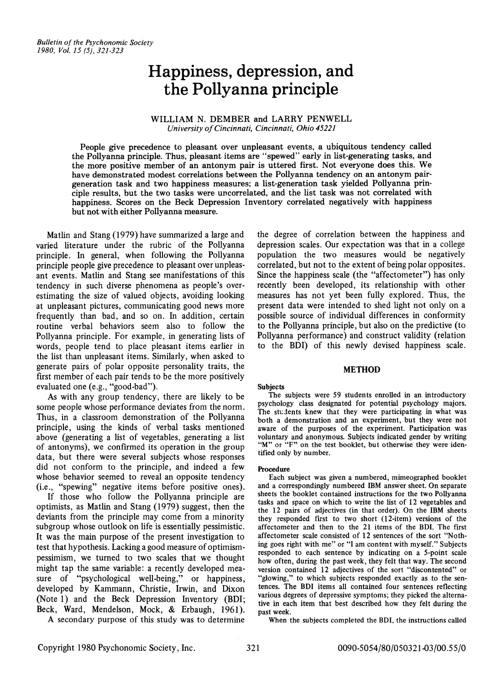# **Happiness, depression, and the Pollyanna principle**

## WILLIAM N. DEMBER and LARRY PENWELL *University ofCincinnati, Cincinnati, Ohio* 4522J

People give precedence to pleasant over unpleasant events, a ubiquitous tendency called the Pollyanna principle. Thus, pleasant items are " spewed" early in list-generating tasks, and the more positive member of an antonym pair is uttered first. Not everyone does this. We have demonstrated modest correlations between the Pollyanna tendency on an antonym pairgeneration task and two happiness measures; a list-generation task yielded Pollyanna principle results, but the two tasks were uncorrelated, and the list task was not correlated with happiness. Scores on the Beck Depression Inventory correlated negatively with happiness but not with either Pollyanna measure.

Matlin and Stang (1979) have summarized a large and varied literature under the rubric of the Pollyanna principle. In general, when following the Pollyanna principle people give precedence to pleasant over unpleasant events. Matlin and Stang see manifestations of this tendency in such diverse phenomena as people's overestimating the size of valued objects, avoiding looking at unpleasant pictures, communicating good news more frequently than bad, and so on. In addition, certain routine verbal behaviors seem also to follow the Pollyanna principle. For example, in generating lists of words, people tend to place pleasant items earlier in the list than unpleasant items. Similarly, when asked to generate pairs of polar opposite personality traits, the first member of each pair tends to be the more positively evaluated one (e.g., "good-bad").

As with any group tendency, there are likely to be some people whose performance deviates from the norm. Thus, in a classroom demonstration of the Pollyanna principle, using the kinds of verbal tasks mentioned above (generating a list of vegetables, generating a list of antonyms), we confirmed its operation in the group data, but there were several subjects whose responses did not conform to the principle, and indeed a few whose behavior seemed to reveal an opposite tendency (i.e., "spewing" negative items before positive ones).

If those who follow the Pollyanna principle are optimists, as Matlin and Stang (1979) suggest, then the deviants from the principle may come from a minority subgroup whose outlook on life is essentially pessimistic. It was the main purpose of the present investigation to test that hypothesis. Lackinga good measure of optimismpessimism, we turned to two scales that we thought might tap the same variable: a recently developed measure of "psychological well-being," or happiness, developed by Kammann, Christie, Irwin, and Dixon (Note 1) and the Beck Depression Inventory (BDI; Beck, Ward, Mendelson, Mock, & Erbaugh, 1961).

A secondary purpose of this study was to determine

the degree of correlation between the happiness and depression scales. Our expectation was that in a college population the two measures would be negatively correlated, but not to the extent of being polar opposites. Since the happiness scale (the "affectometer") has only recently been developed, its relationship with other measures has not yet been fully explored. Thus, the present data were intended to shed light not only on a possible source of individual differences in conformity to the Pollyanna principle, but also on the predictive (to Pollyanna performance) and construct validity (relation to the BDI) of this newly devised happiness scale.

## **METHOD**

### **Subjects**

The subjects were 59 students enrolled in an introductory psychology class designated for potential psychology majors. The students knew that they were participating in what was both a demonstration and an experiment, but they were not aware of the purposes of the experiment. Participation was voluntary and anonymous. Subjects indicated gender by writing "M" or "F" on the test booklet, but otherwise they were identified only by number.

### Procedure

Each subject was given a numbered, mimeographed booklet and a correspondingly numbered IBM answer sheet. On separate sheets the booklet contained instructions for the two Pollyanna tasks and space on which to write the list of 12 vegetables and the 12 pairs of adjectives (in that order). On the IBM sheets they responded first to two short (12-item) versions of the affectometer and then to the 21 items of the BDl. The first affectometer scale consisted of 12 sentences of the sort "Nothing goes right with me" or "I am content with myself." Subjects responded to each sentence by indicating on a 5-point scale how often, during the past week, they felt that way. The second version contained 12 adjectives of the sort "discontented" or "glowing," to which subjects responded exactly as to the sentences. The BDI items all contained four sentences reflecting various degrees of depressive symptoms; they picked the alternative in each item that best described how they felt during the past week.

When the subjects completed the BDl. the instructions called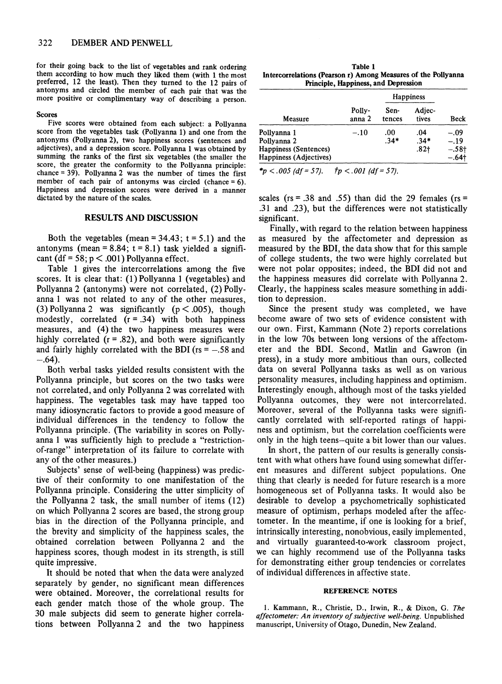for their going back to the list of vegetables and rank ordering them according to how much they liked them (with 1 the most preferred, 12 the least). Then they turned to the 12 pairs of antonyms and circled the member of each pair that was the more positive or complimentary way of describing a person.

#### Scores

Five scores were obtained from each subject: a Pollyanna score from the vegetables task (Pollyanna 1) and one from the antonyms (Pollyanna 2), two happiness scores (sentences and adjectives), and a depression score. Pollyanna 1 was obtained by summing the ranks of the first six vegetables (the smaller the score, the greater the conformity to the Pollyanna principle: chance = 39). Pollyanna 2 was the number of times the first member of each pair of antonyms was circled (chance  $= 6$ ). Happiness and depression scores were derived in a manner dictated by the nature of the scales.

## RESULTS AND DISCUSSION

Both the vegetables (mean =  $34.43$ ; t =  $5.1$ ) and the antonyms (mean =  $8.84$ ;  $t = 8.1$ ) task vielded a significant (df = 58;  $p < .001$ ) Pollyanna effect.

Table 1 gives the intercorrelations among the five scores. It is clear that: (1) Pollyanna 1 (vegetables) and Pollyanna 2 (antonyms) were not correlated, (2) Pollyanna I was not related to any of the other measures, (3) Pollyanna 2 was significantly ( $p < .005$ ), though modestly, correlated  $(r = .34)$  with both happiness measures, and (4) the two happiness measures were highly correlated  $(r = .82)$ , and both were significantly and fairly highly correlated with the BDI ( $rs = -.58$  and  $-.64$ ).

Both verbal tasks yielded results consistent with the Pollyanna principle, but scores on the two tasks were not correlated, and only Pollyanna 2 was correlated with happiness. The vegetables task may have tapped too many idiosyncratic factors to provide a good measure of individual differences in the tendency to follow the Pollyanna principle. (The variability in scores on Pollyanna 1 was sufficiently high to preclude a "restrictionof-range" interpretation of its failure to correlate with any of the other measures .)

Subjects' sense of well-being (happiness) was predictive of their conformity to one manifestation of the Pollyanna principle. Considering the utter simplicity of the Pollyanna  $2$  task, the small number of items  $(12)$ on which Pollyanna 2 scores are based , the strong group bias in the direction of the Pollyanna principle, and the brevity and simplicity of the happiness scales, the obtained correlation between Pollyanna 2 and the happiness scores, though modest in its strength, is still quite impressive.

It should be noted that when the data were analyzed separately by gender, no significant mean differences were obtained. Moreover, the correlational results for each gender match those of the whole group. The 30 male subjects did seem to generate higher correlations between Pollyanna 2 and the two happiness

Table 1 Intercorrelations (Pearson r) Among Measures of the Pollyanna Principle, Happiness, and Depression

| Measure                | Polly-<br>anna 2 | Happiness      |                 |               |
|------------------------|------------------|----------------|-----------------|---------------|
|                        |                  | Sen-<br>tences | Adjec-<br>tives | Beck          |
| Pollyanna 1            | $-.10$           | .00            | .04             | $-.09$        |
| Pollyanna 2            |                  | $.34*$         | $.34*$          | $-.19$        |
| Happiness (Sentences)  |                  |                | $.82+$          | $-.58\dagger$ |
| Happiness (Adjectives) |                  |                |                 | $-.64\dagger$ |

 $*$ *p* < *.005 (df* = 57).  $tp$  < *.001 (df* = 57).

scales ( $rs = .38$  and .55) than did the 29 females ( $rs =$ .31 and .23), but the differences were not statistically significant.

Finally, with regard to the relation between happiness as measured by the affectometer and depression as measured by the BDI, the data show that for this sample of college students, the two were highly correlated but were not polar opposites; indeed, the BDI did not and the happiness measures did correlate with Pollyanna 2. Clearly, the happiness scales measure something in addition to depression.

Since the present study was completed, we have become aware of two sets of evidence consistent with our own. First, Kammann (Note 2) reports correlations in the low 70s between long versions of the affectometer and the BDI. Second, Matlin and Gawron (in press), in a study more ambitious than ours, collected data on several Pollyanna tasks as well as on various personality measures, including happiness and optimism. Interestingly enough, although most of the tasks yielded Pollyanna outcomes, they were not intercorrelated. Moreover, several of the Pollyanna tasks were significantly correlated with self-reported ratings of happiness and optimism, but the correlation coefficients were only in the high teens-quite a bit lower than our values.

In short, the pattern of our results is generally consistent with what others have found using somewhat different measures and different subject populations. One thing that clearly is needed for future research is a more homogeneous set of Pollyanna tasks. It would also be desirable to develop a psychometrically sophisticated measure of optimism, perhaps modeled after the affectometer. In the meantime, if one is looking for a brief, intrinsically interesting, nonobvious, easily implemented, and Virtually guaranteed-to-work classroom project, we can highly recommend use of the Pollyanna tasks for demonstrating either group tendencies or correlates of individual differences in affective state.

#### REFERENCE NOTES

1. Kammann, R., Christie, D., Irwin, R., & Dixon, G. *The affectometer: An inventory ojsubjective well-being.* Unpublished manuscript, University of Otago, Dunedin, NewZealand.